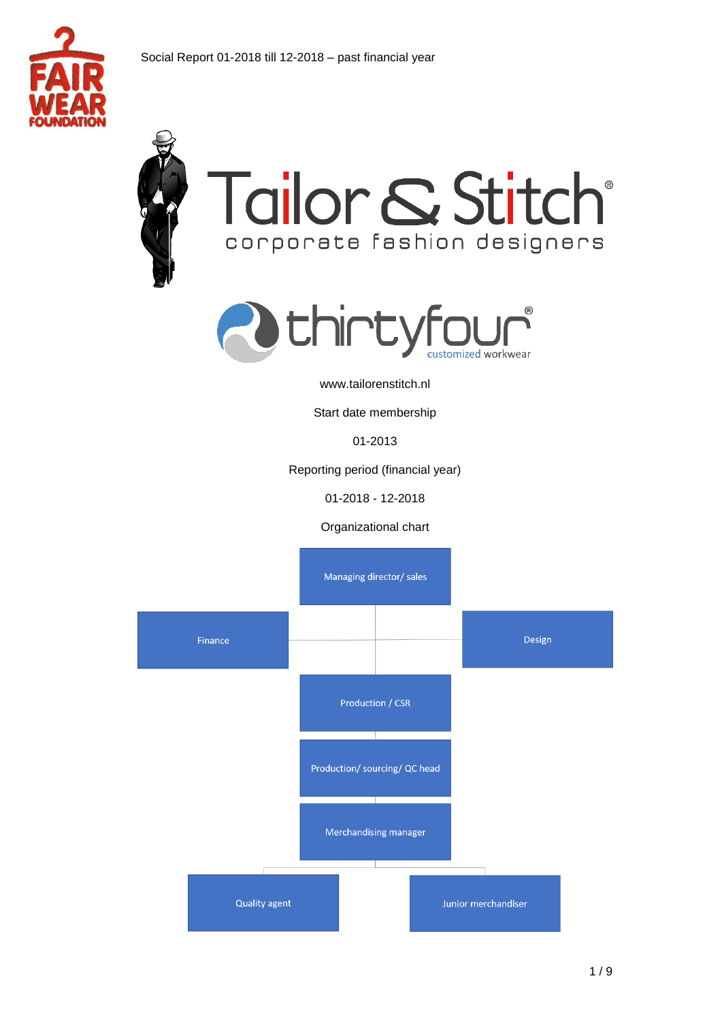



# Tailor & Stitch® corporate fashion designers



www.tailorenstitch.nl

Start date membership

01-2013

Reporting period (financial year)

01-2018 - 12-2018

Organizational chart

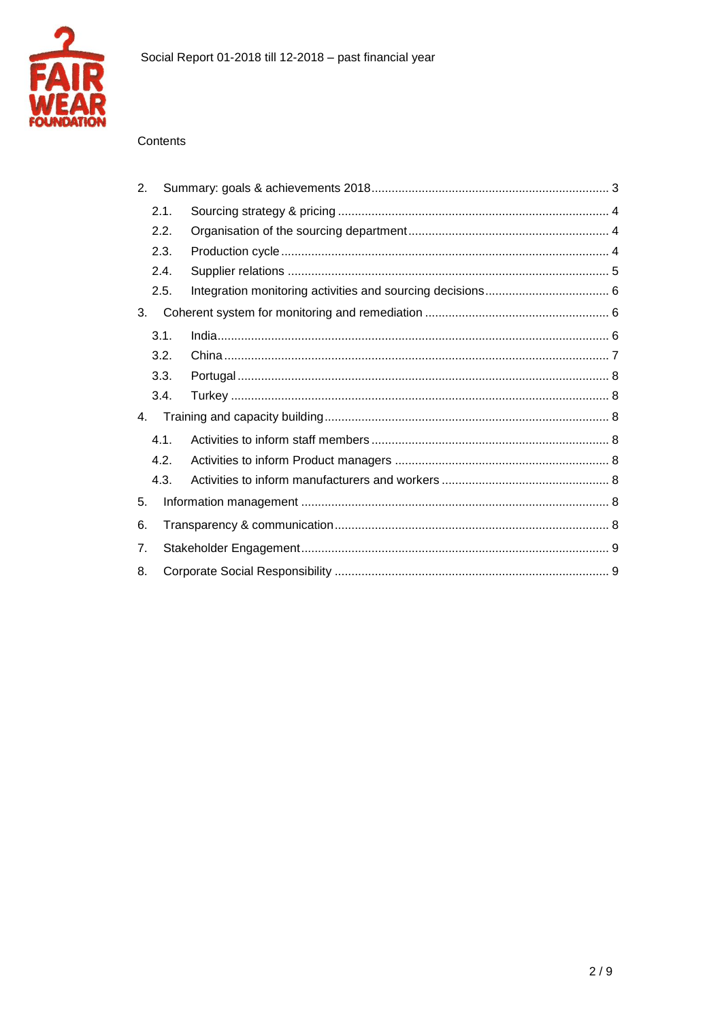

#### Contents

| 2. |      |  |  |
|----|------|--|--|
|    | 2.1. |  |  |
|    | 2.2. |  |  |
|    | 2.3. |  |  |
|    | 2.4. |  |  |
|    | 2.5. |  |  |
| 3. |      |  |  |
|    | 3.1. |  |  |
|    | 3.2. |  |  |
|    | 3.3. |  |  |
|    | 3.4. |  |  |
| 4. |      |  |  |
|    | 4.1. |  |  |
|    | 4.2. |  |  |
|    | 4.3. |  |  |
| 5. |      |  |  |
| 6. |      |  |  |
| 7. |      |  |  |
| 8. |      |  |  |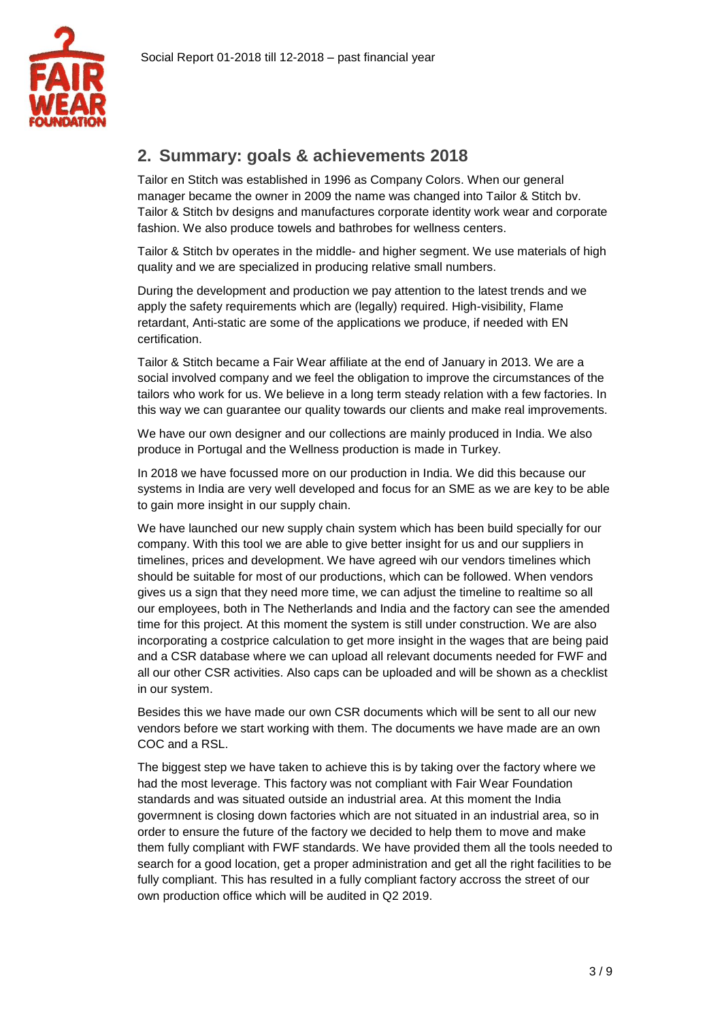

## <span id="page-2-0"></span>**2. Summary: goals & achievements 2018**

Tailor en Stitch was established in 1996 as Company Colors. When our general manager became the owner in 2009 the name was changed into Tailor & Stitch bv. Tailor & Stitch bv designs and manufactures corporate identity work wear and corporate fashion. We also produce towels and bathrobes for wellness centers.

Tailor & Stitch bv operates in the middle- and higher segment. We use materials of high quality and we are specialized in producing relative small numbers.

During the development and production we pay attention to the latest trends and we apply the safety requirements which are (legally) required. High-visibility, Flame retardant, Anti-static are some of the applications we produce, if needed with EN certification.

Tailor & Stitch became a Fair Wear affiliate at the end of January in 2013. We are a social involved company and we feel the obligation to improve the circumstances of the tailors who work for us. We believe in a long term steady relation with a few factories. In this way we can guarantee our quality towards our clients and make real improvements.

We have our own designer and our collections are mainly produced in India. We also produce in Portugal and the Wellness production is made in Turkey.

In 2018 we have focussed more on our production in India. We did this because our systems in India are very well developed and focus for an SME as we are key to be able to gain more insight in our supply chain.

We have launched our new supply chain system which has been build specially for our company. With this tool we are able to give better insight for us and our suppliers in timelines, prices and development. We have agreed wih our vendors timelines which should be suitable for most of our productions, which can be followed. When vendors gives us a sign that they need more time, we can adjust the timeline to realtime so all our employees, both in The Netherlands and India and the factory can see the amended time for this project. At this moment the system is still under construction. We are also incorporating a costprice calculation to get more insight in the wages that are being paid and a CSR database where we can upload all relevant documents needed for FWF and all our other CSR activities. Also caps can be uploaded and will be shown as a checklist in our system.

Besides this we have made our own CSR documents which will be sent to all our new vendors before we start working with them. The documents we have made are an own COC and a RSL.

The biggest step we have taken to achieve this is by taking over the factory where we had the most leverage. This factory was not compliant with Fair Wear Foundation standards and was situated outside an industrial area. At this moment the India govermnent is closing down factories which are not situated in an industrial area, so in order to ensure the future of the factory we decided to help them to move and make them fully compliant with FWF standards. We have provided them all the tools needed to search for a good location, get a proper administration and get all the right facilities to be fully compliant. This has resulted in a fully compliant factory accross the street of our own production office which will be audited in Q2 2019.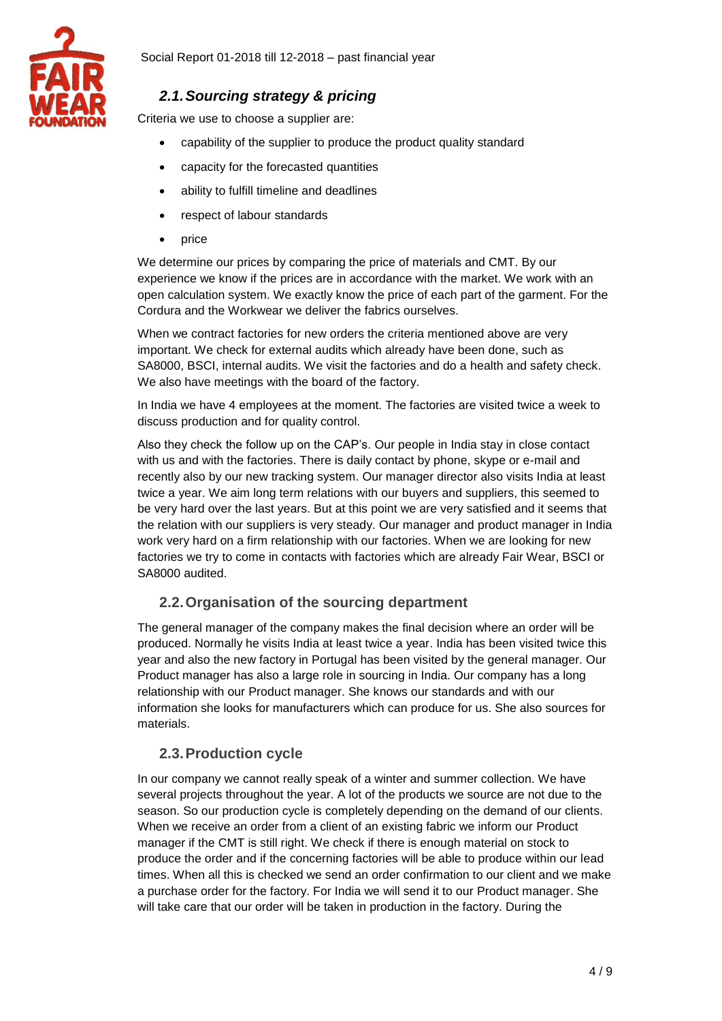

## <span id="page-3-0"></span>*2.1.Sourcing strategy & pricing*

Criteria we use to choose a supplier are:

- capability of the supplier to produce the product quality standard
- capacity for the forecasted quantities
- ability to fulfill timeline and deadlines
- respect of labour standards
- price

We determine our prices by comparing the price of materials and CMT. By our experience we know if the prices are in accordance with the market. We work with an open calculation system. We exactly know the price of each part of the garment. For the Cordura and the Workwear we deliver the fabrics ourselves.

When we contract factories for new orders the criteria mentioned above are very important. We check for external audits which already have been done, such as SA8000, BSCI, internal audits. We visit the factories and do a health and safety check. We also have meetings with the board of the factory.

In India we have 4 employees at the moment. The factories are visited twice a week to discuss production and for quality control.

Also they check the follow up on the CAP's. Our people in India stay in close contact with us and with the factories. There is daily contact by phone, skype or e-mail and recently also by our new tracking system. Our manager director also visits India at least twice a year. We aim long term relations with our buyers and suppliers, this seemed to be very hard over the last years. But at this point we are very satisfied and it seems that the relation with our suppliers is very steady. Our manager and product manager in India work very hard on a firm relationship with our factories. When we are looking for new factories we try to come in contacts with factories which are already Fair Wear, BSCI or SA8000 audited.

#### <span id="page-3-1"></span>**2.2.Organisation of the sourcing department**

The general manager of the company makes the final decision where an order will be produced. Normally he visits India at least twice a year. India has been visited twice this year and also the new factory in Portugal has been visited by the general manager. Our Product manager has also a large role in sourcing in India. Our company has a long relationship with our Product manager. She knows our standards and with our information she looks for manufacturers which can produce for us. She also sources for materials.

#### <span id="page-3-2"></span>**2.3.Production cycle**

In our company we cannot really speak of a winter and summer collection. We have several projects throughout the year. A lot of the products we source are not due to the season. So our production cycle is completely depending on the demand of our clients. When we receive an order from a client of an existing fabric we inform our Product manager if the CMT is still right. We check if there is enough material on stock to produce the order and if the concerning factories will be able to produce within our lead times. When all this is checked we send an order confirmation to our client and we make a purchase order for the factory. For India we will send it to our Product manager. She will take care that our order will be taken in production in the factory. During the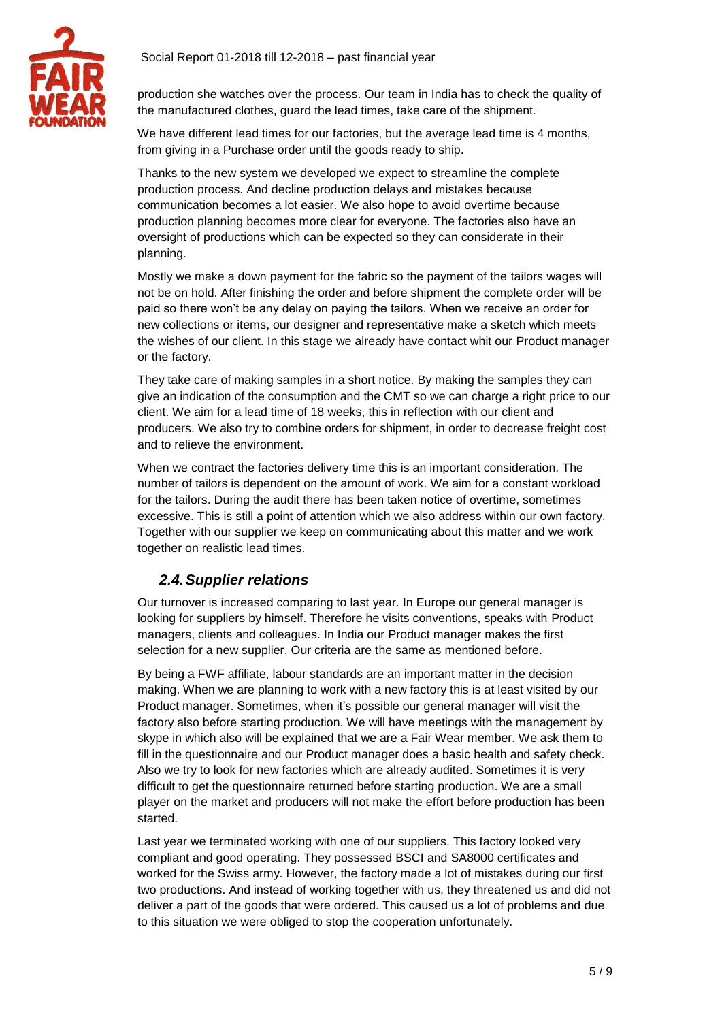

production she watches over the process. Our team in India has to check the quality of the manufactured clothes, guard the lead times, take care of the shipment.

We have different lead times for our factories, but the average lead time is 4 months, from giving in a Purchase order until the goods ready to ship.

Thanks to the new system we developed we expect to streamline the complete production process. And decline production delays and mistakes because communication becomes a lot easier. We also hope to avoid overtime because production planning becomes more clear for everyone. The factories also have an oversight of productions which can be expected so they can considerate in their planning.

Mostly we make a down payment for the fabric so the payment of the tailors wages will not be on hold. After finishing the order and before shipment the complete order will be paid so there won't be any delay on paying the tailors. When we receive an order for new collections or items, our designer and representative make a sketch which meets the wishes of our client. In this stage we already have contact whit our Product manager or the factory.

They take care of making samples in a short notice. By making the samples they can give an indication of the consumption and the CMT so we can charge a right price to our client. We aim for a lead time of 18 weeks, this in reflection with our client and producers. We also try to combine orders for shipment, in order to decrease freight cost and to relieve the environment.

When we contract the factories delivery time this is an important consideration. The number of tailors is dependent on the amount of work. We aim for a constant workload for the tailors. During the audit there has been taken notice of overtime, sometimes excessive. This is still a point of attention which we also address within our own factory. Together with our supplier we keep on communicating about this matter and we work together on realistic lead times.

## <span id="page-4-0"></span>*2.4.Supplier relations*

Our turnover is increased comparing to last year. In Europe our general manager is looking for suppliers by himself. Therefore he visits conventions, speaks with Product managers, clients and colleagues. In India our Product manager makes the first selection for a new supplier. Our criteria are the same as mentioned before.

By being a FWF affiliate, labour standards are an important matter in the decision making. When we are planning to work with a new factory this is at least visited by our Product manager. Sometimes, when it's possible our general manager will visit the factory also before starting production. We will have meetings with the management by skype in which also will be explained that we are a Fair Wear member. We ask them to fill in the questionnaire and our Product manager does a basic health and safety check. Also we try to look for new factories which are already audited. Sometimes it is very difficult to get the questionnaire returned before starting production. We are a small player on the market and producers will not make the effort before production has been started.

Last year we terminated working with one of our suppliers. This factory looked very compliant and good operating. They possessed BSCI and SA8000 certificates and worked for the Swiss army. However, the factory made a lot of mistakes during our first two productions. And instead of working together with us, they threatened us and did not deliver a part of the goods that were ordered. This caused us a lot of problems and due to this situation we were obliged to stop the cooperation unfortunately.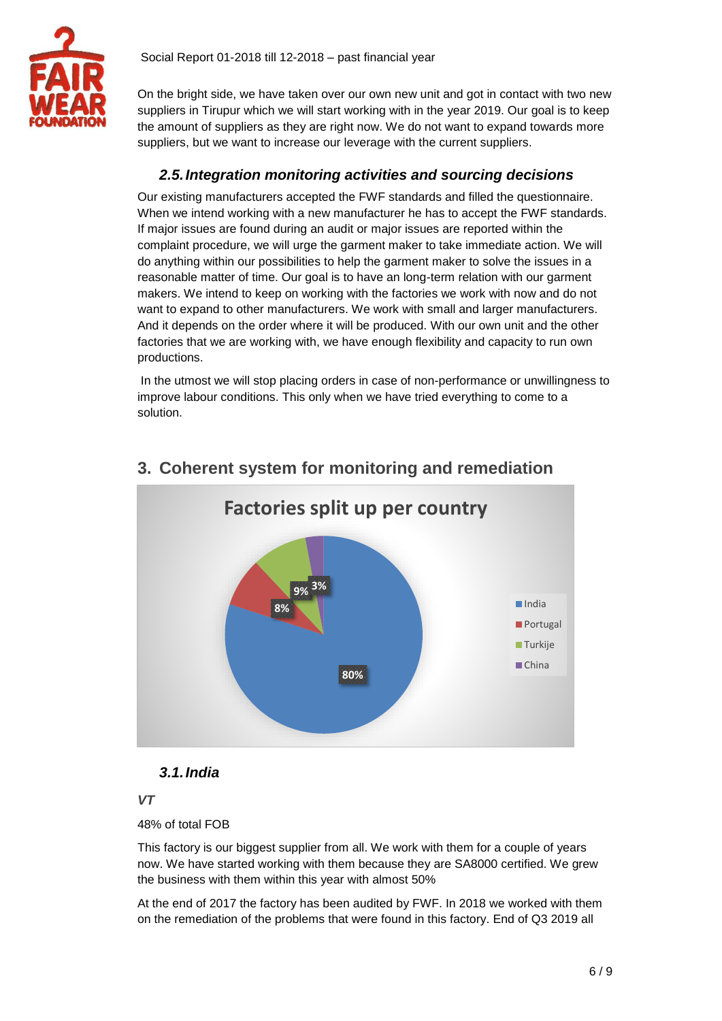

On the bright side, we have taken over our own new unit and got in contact with two new suppliers in Tirupur which we will start working with in the year 2019. Our goal is to keep the amount of suppliers as they are right now. We do not want to expand towards more suppliers, but we want to increase our leverage with the current suppliers.

## <span id="page-5-0"></span>*2.5.Integration monitoring activities and sourcing decisions*

Our existing manufacturers accepted the FWF standards and filled the questionnaire. When we intend working with a new manufacturer he has to accept the FWF standards. If major issues are found during an audit or major issues are reported within the complaint procedure, we will urge the garment maker to take immediate action. We will do anything within our possibilities to help the garment maker to solve the issues in a reasonable matter of time. Our goal is to have an long-term relation with our garment makers. We intend to keep on working with the factories we work with now and do not want to expand to other manufacturers. We work with small and larger manufacturers. And it depends on the order where it will be produced. With our own unit and the other factories that we are working with, we have enough flexibility and capacity to run own productions.

In the utmost we will stop placing orders in case of non-performance or unwillingness to improve labour conditions. This only when we have tried everything to come to a solution.



# <span id="page-5-1"></span>**3. Coherent system for monitoring and remediation**

## <span id="page-5-2"></span>*3.1.India*

#### *VT*

48% of total FOB

This factory is our biggest supplier from all. We work with them for a couple of years now. We have started working with them because they are SA8000 certified. We grew the business with them within this year with almost 50%

At the end of 2017 the factory has been audited by FWF. In 2018 we worked with them on the remediation of the problems that were found in this factory. End of Q3 2019 all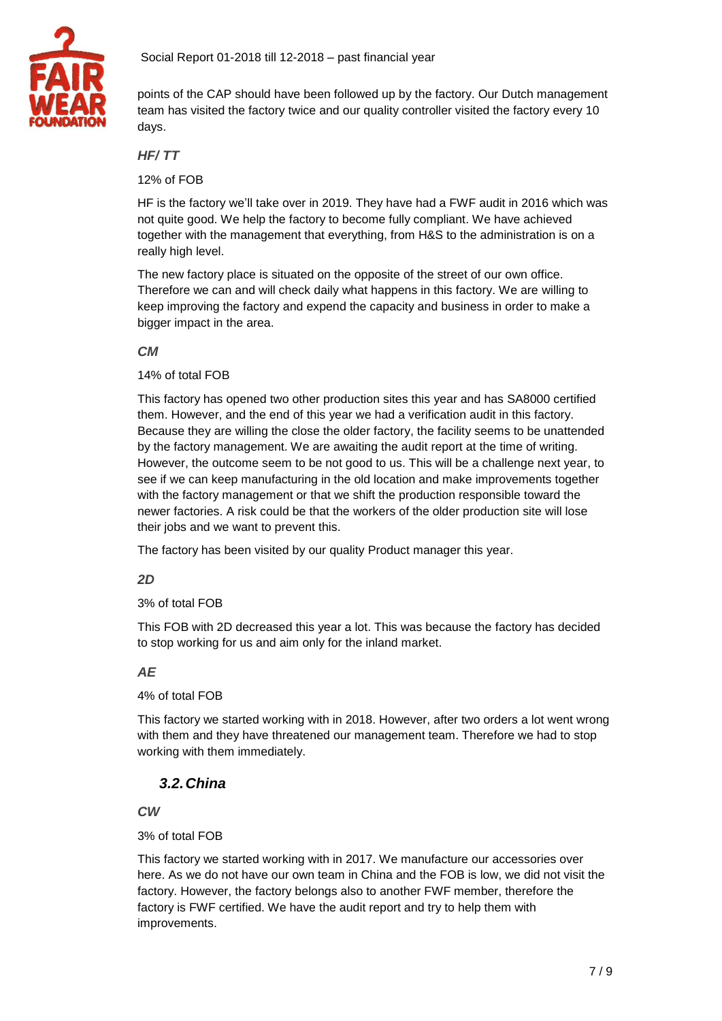<span id="page-6-1"></span>

points of the CAP should have been followed up by the factory. Our Dutch management team has visited the factory twice and our quality controller visited the factory every 10 days.

#### *HF/ TT*

12% of FOB

HF is the factory we'll take over in 2019. They have had a FWF audit in 2016 which was not quite good. We help the factory to become fully compliant. We have achieved together with the management that everything, from H&S to the administration is on a really high level.

The new factory place is situated on the opposite of the street of our own office. Therefore we can and will check daily what happens in this factory. We are willing to keep improving the factory and expend the capacity and business in order to make a bigger impact in the area.

#### *CM*

14% of total FOB

This factory has opened two other production sites this year and has SA8000 certified them. However, and the end of this year we had a verification audit in this factory. Because they are willing the close the older factory, the facility seems to be unattended by the factory management. We are awaiting the audit report at the time of writing. However, the outcome seem to be not good to us. This will be a challenge next year, to see if we can keep manufacturing in the old location and make improvements together with the factory management or that we shift the production responsible toward the newer factories. A risk could be that the workers of the older production site will lose their jobs and we want to prevent this.

The factory has been visited by our quality Product manager this year.

#### *2D*

3% of total FOB

This FOB with 2D decreased this year a lot. This was because the factory has decided to stop working for us and aim only for the inland market.

#### *AE*

#### 4% of total FOB

This factory we started working with in 2018. However, after two orders a lot went wrong with them and they have threatened our management team. Therefore we had to stop working with them immediately.

#### <span id="page-6-0"></span>*3.2.China*

*CW*

3% of total FOB

This factory we started working with in 2017. We manufacture our accessories over here. As we do not have our own team in China and the FOB is low, we did not visit the factory. However, the factory belongs also to another FWF member, therefore the factory is FWF certified. We have the audit report and try to help them with improvements.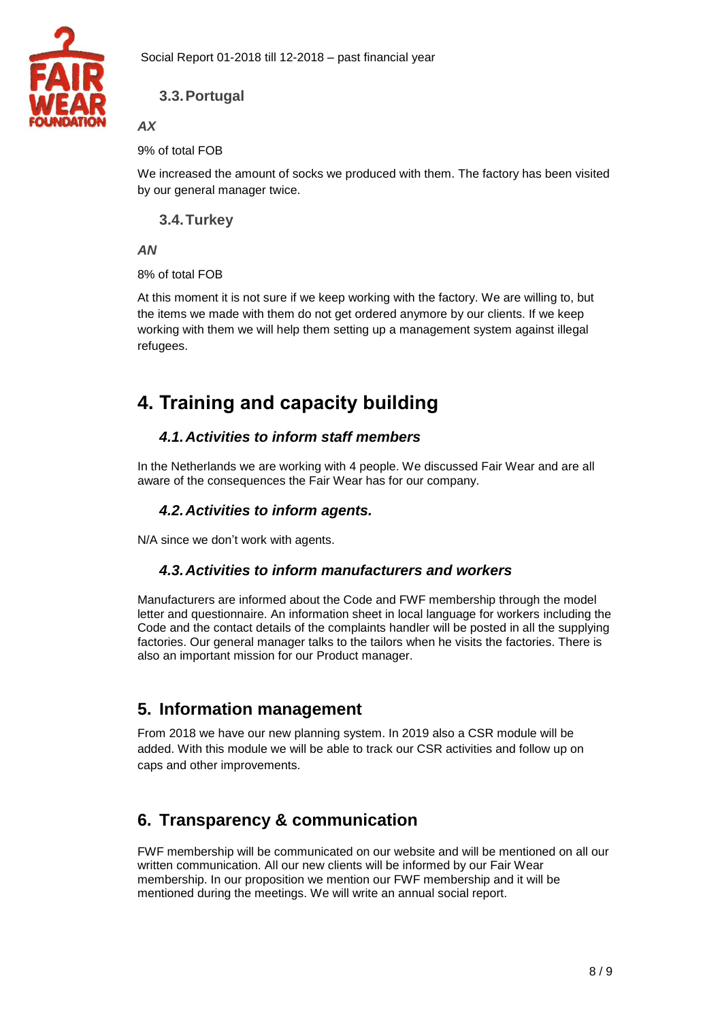<span id="page-7-7"></span>

Social Report 01-2018 till 12-2018 – past financial year

## **3.3.Portugal**

#### *AX*

9% of total FOB

We increased the amount of socks we produced with them. The factory has been visited by our general manager twice.

<span id="page-7-0"></span>**3.4.Turkey**

#### *AN*

8% of total FOB

At this moment it is not sure if we keep working with the factory. We are willing to, but the items we made with them do not get ordered anymore by our clients. If we keep working with them we will help them setting up a management system against illegal refugees.

# <span id="page-7-1"></span>**4. Training and capacity building**

## <span id="page-7-2"></span>*4.1.Activities to inform staff members*

In the Netherlands we are working with 4 people. We discussed Fair Wear and are all aware of the consequences the Fair Wear has for our company.

## <span id="page-7-3"></span>*4.2.Activities to inform agents.*

N/A since we don't work with agents.

#### <span id="page-7-4"></span>*4.3.Activities to inform manufacturers and workers*

Manufacturers are informed about the Code and FWF membership through the model letter and questionnaire. An information sheet in local language for workers including the Code and the contact details of the complaints handler will be posted in all the supplying factories. Our general manager talks to the tailors when he visits the factories. There is also an important mission for our Product manager.

## <span id="page-7-5"></span>**5. Information management**

From 2018 we have our new planning system. In 2019 also a CSR module will be added. With this module we will be able to track our CSR activities and follow up on caps and other improvements.

# <span id="page-7-6"></span>**6. Transparency & communication**

FWF membership will be communicated on our website and will be mentioned on all our written communication. All our new clients will be informed by our Fair Wear membership. In our proposition we mention our FWF membership and it will be mentioned during the meetings. We will write an annual social report.